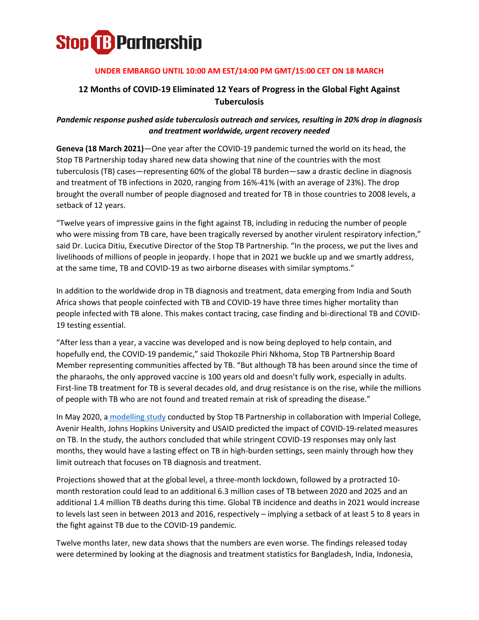

### **UNDER EMBARGO UNTIL 10:00 AM EST/14:00 PM GMT/15:00 CET ON 18 MARCH**

# **12 Months of COVID-19 Eliminated 12 Years of Progress in the Global Fight Against Tuberculosis**

## *Pandemic response pushed aside tuberculosis outreach and services, resulting in 20% drop in diagnosis and treatment worldwide, urgent recovery needed*

**Geneva (18 March 2021)**—One year after the COVID-19 pandemic turned the world on its head, the Stop TB Partnership today shared new data showing that nine of the countries with the most tuberculosis (TB) cases—representing 60% of the global TB burden—saw a drastic decline in diagnosis and treatment of TB infections in 2020, ranging from 16%-41% (with an average of 23%). The drop brought the overall number of people diagnosed and treated for TB in those countries to 2008 levels, a setback of 12 years.

"Twelve years of impressive gains in the fight against TB, including in reducing the number of people who were missing from TB care, have been tragically reversed by another virulent respiratory infection," said Dr. Lucica Ditiu, Executive Director of the Stop TB Partnership. "In the process, we put the lives and livelihoods of millions of people in jeopardy. I hope that in 2021 we buckle up and we smartly address, at the same time, TB and COVID-19 as two airborne diseases with similar symptoms."

In addition to the worldwide drop in TB diagnosis and treatment, data emerging from India and South Africa shows that people coinfected with TB and COVID-19 have three times higher mortality than people infected with TB alone. This makes contact tracing, case finding and bi-directional TB and COVID-19 testing essential.

"After less than a year, a vaccine was developed and is now being deployed to help contain, and hopefully end, the COVID-19 pandemic," said Thokozile Phiri Nkhoma, Stop TB Partnership Board Member representing communities affected by TB. "But although TB has been around since the time of the pharaohs, the only approved vaccine is 100 years old and doesn't fully work, especially in adults. First-line TB treatment for TB is several decades old, and drug resistance is on the rise, while the millions of people with TB who are not found and treated remain at risk of spreading the disease."

In May 2020, a [modelling study](https://www.thelancet.com/journals/eclinm/article/PIIS2589-5370(20)30347-3/fulltext) conducted by Stop TB Partnership in collaboration with Imperial College, Avenir Health, Johns Hopkins University and USAID predicted the impact of COVID-19-related measures on TB. In the study, the authors concluded that while stringent COVID-19 responses may only last months, they would have a lasting effect on TB in high-burden settings, seen mainly through how they limit outreach that focuses on TB diagnosis and treatment.

Projections showed that at the global level, a three-month lockdown, followed by a protracted 10 month restoration could lead to an additional 6.3 million cases of TB between 2020 and 2025 and an additional 1.4 million TB deaths during this time. Global TB incidence and deaths in 2021 would increase to levels last seen in between 2013 and 2016, respectively – implying a setback of at least 5 to 8 years in the fight against TB due to the COVID-19 pandemic.

Twelve months later, new data shows that the numbers are even worse. The findings released today were determined by looking at the diagnosis and treatment statistics for Bangladesh, India, Indonesia,